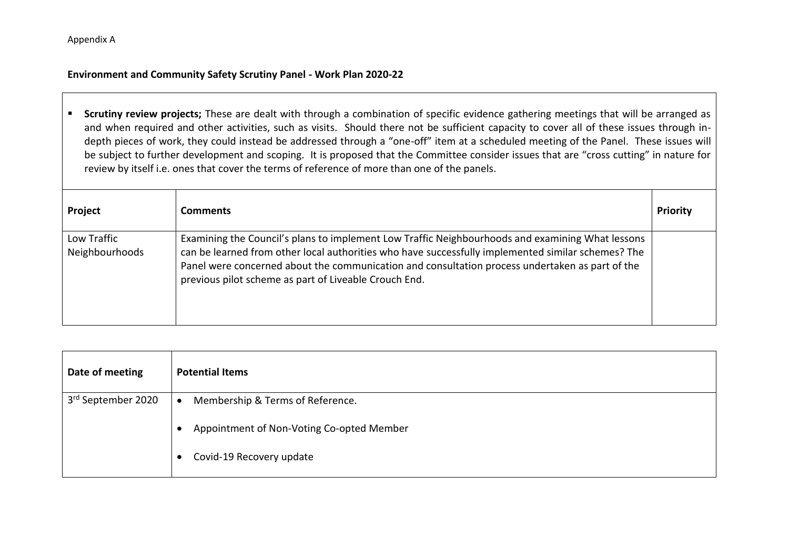#### **Environment and Community Safety Scrutiny Panel - Work Plan 2020-22**

**Scrutiny review projects;** These are dealt with through a combination of specific evidence gathering meetings that will be arranged as and when required and other activities, such as visits. Should there not be sufficient capacity to cover all of these issues through indepth pieces of work, they could instead be addressed through a "one-off" item at a scheduled meeting of the Panel. These issues will be subject to further development and scoping. It is proposed that the Committee consider issues that are "cross cutting" in nature for review by itself i.e. ones that cover the terms of reference of more than one of the panels.

| Project                       | <b>Comments</b>                                                                                                                                                                                                                                                                                                                                                    | Priority |
|-------------------------------|--------------------------------------------------------------------------------------------------------------------------------------------------------------------------------------------------------------------------------------------------------------------------------------------------------------------------------------------------------------------|----------|
| Low Traffic<br>Neighbourhoods | Examining the Council's plans to implement Low Traffic Neighbourhoods and examining What lessons<br>can be learned from other local authorities who have successfully implemented similar schemes? The<br>Panel were concerned about the communication and consultation process undertaken as part of the<br>previous pilot scheme as part of Liveable Crouch End. |          |

| Date of meeting    | <b>Potential Items</b>                                 |
|--------------------|--------------------------------------------------------|
| 3rd September 2020 | Membership & Terms of Reference.<br>$\bullet$          |
|                    | Appointment of Non-Voting Co-opted Member<br>$\bullet$ |
|                    | Covid-19 Recovery update<br>$\bullet$                  |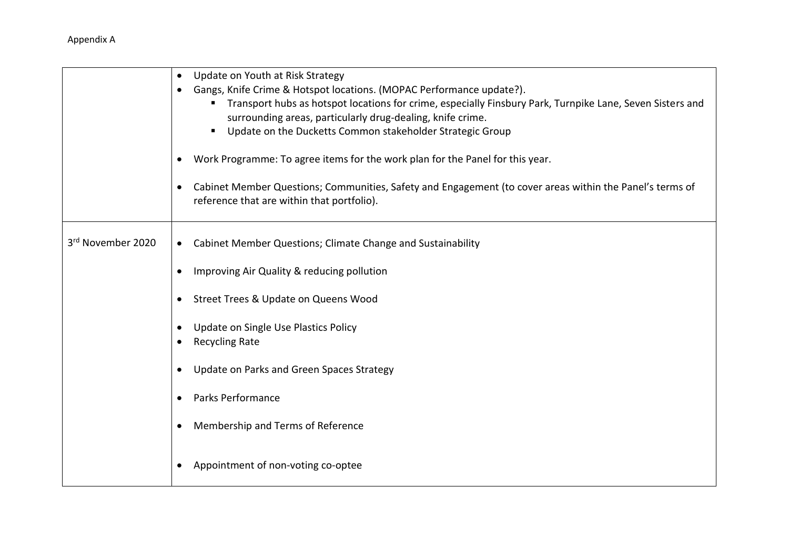|                   | Update on Youth at Risk Strategy<br>$\bullet$<br>Gangs, Knife Crime & Hotspot locations. (MOPAC Performance update?).<br>Transport hubs as hotspot locations for crime, especially Finsbury Park, Turnpike Lane, Seven Sisters and<br>surrounding areas, particularly drug-dealing, knife crime.<br>Update on the Ducketts Common stakeholder Strategic Group |
|-------------------|---------------------------------------------------------------------------------------------------------------------------------------------------------------------------------------------------------------------------------------------------------------------------------------------------------------------------------------------------------------|
|                   | Work Programme: To agree items for the work plan for the Panel for this year.<br>Cabinet Member Questions; Communities, Safety and Engagement (to cover areas within the Panel's terms of<br>$\bullet$<br>reference that are within that portfolio).                                                                                                          |
| 3rd November 2020 | Cabinet Member Questions; Climate Change and Sustainability<br>$\bullet$                                                                                                                                                                                                                                                                                      |
|                   | Improving Air Quality & reducing pollution                                                                                                                                                                                                                                                                                                                    |
|                   | Street Trees & Update on Queens Wood<br>$\bullet$                                                                                                                                                                                                                                                                                                             |
|                   | Update on Single Use Plastics Policy<br>$\bullet$<br><b>Recycling Rate</b>                                                                                                                                                                                                                                                                                    |
|                   | Update on Parks and Green Spaces Strategy<br>$\bullet$                                                                                                                                                                                                                                                                                                        |
|                   | Parks Performance<br>$\bullet$                                                                                                                                                                                                                                                                                                                                |
|                   | Membership and Terms of Reference<br>$\bullet$                                                                                                                                                                                                                                                                                                                |
|                   | Appointment of non-voting co-optee<br>$\bullet$                                                                                                                                                                                                                                                                                                               |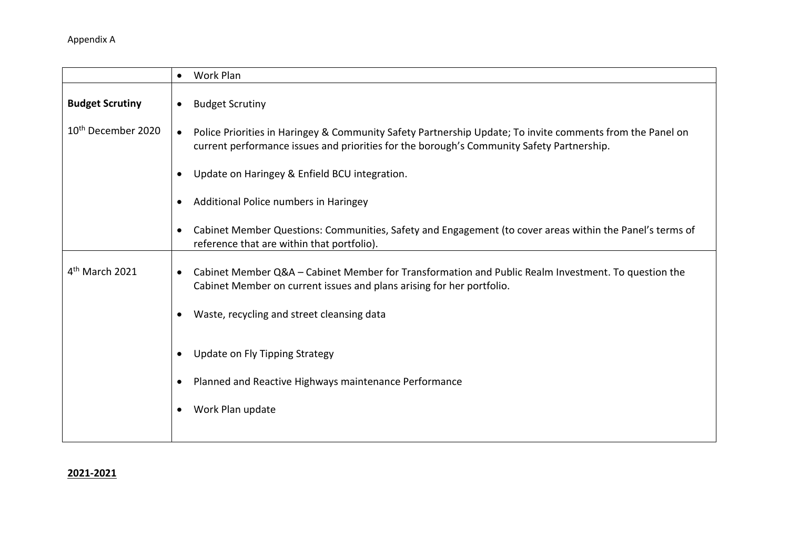|                                | Work Plan<br>$\bullet$                                                                                                                                                                                              |
|--------------------------------|---------------------------------------------------------------------------------------------------------------------------------------------------------------------------------------------------------------------|
| <b>Budget Scrutiny</b>         | <b>Budget Scrutiny</b><br>$\bullet$                                                                                                                                                                                 |
| 10 <sup>th</sup> December 2020 | Police Priorities in Haringey & Community Safety Partnership Update; To invite comments from the Panel on<br>$\bullet$<br>current performance issues and priorities for the borough's Community Safety Partnership. |
|                                | Update on Haringey & Enfield BCU integration.<br>$\bullet$                                                                                                                                                          |
|                                | Additional Police numbers in Haringey<br>$\bullet$                                                                                                                                                                  |
|                                | Cabinet Member Questions: Communities, Safety and Engagement (to cover areas within the Panel's terms of<br>$\bullet$<br>reference that are within that portfolio).                                                 |
| 4 <sup>th</sup> March 2021     | Cabinet Member Q&A - Cabinet Member for Transformation and Public Realm Investment. To question the<br>$\bullet$<br>Cabinet Member on current issues and plans arising for her portfolio.                           |
|                                | Waste, recycling and street cleansing data<br>$\bullet$                                                                                                                                                             |
|                                | Update on Fly Tipping Strategy<br>$\bullet$                                                                                                                                                                         |
|                                | Planned and Reactive Highways maintenance Performance<br>$\bullet$                                                                                                                                                  |
|                                | Work Plan update<br>$\bullet$                                                                                                                                                                                       |
|                                |                                                                                                                                                                                                                     |

### **2021-2021**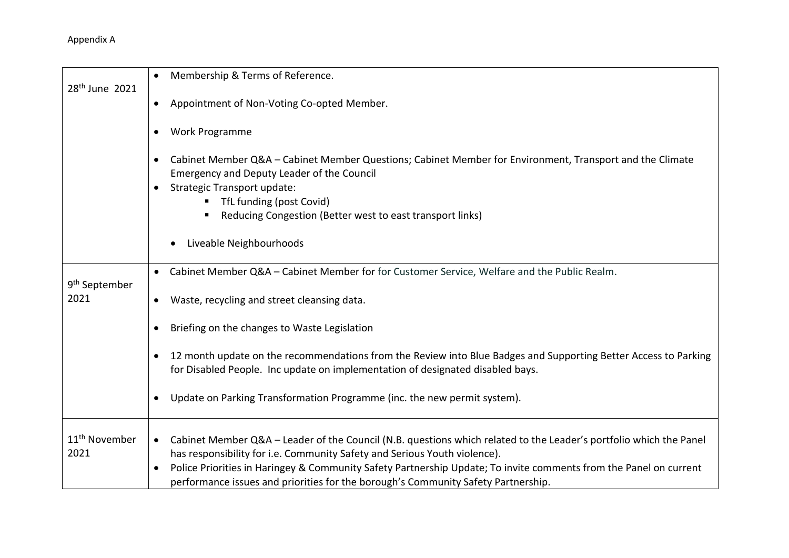|                                   | Membership & Terms of Reference.<br>$\bullet$                                                                                                                                                                       |
|-----------------------------------|---------------------------------------------------------------------------------------------------------------------------------------------------------------------------------------------------------------------|
| 28 <sup>th</sup> June 2021        | Appointment of Non-Voting Co-opted Member.<br>$\bullet$                                                                                                                                                             |
|                                   | Work Programme<br>$\bullet$                                                                                                                                                                                         |
|                                   | Cabinet Member Q&A - Cabinet Member Questions; Cabinet Member for Environment, Transport and the Climate<br>$\bullet$<br>Emergency and Deputy Leader of the Council                                                 |
|                                   | Strategic Transport update:<br>$\bullet$                                                                                                                                                                            |
|                                   | TfL funding (post Covid)<br>п                                                                                                                                                                                       |
|                                   | Reducing Congestion (Better west to east transport links)                                                                                                                                                           |
|                                   | Liveable Neighbourhoods                                                                                                                                                                                             |
|                                   | • Cabinet Member Q&A - Cabinet Member for for Customer Service, Welfare and the Public Realm.                                                                                                                       |
| 9 <sup>th</sup> September<br>2021 | Waste, recycling and street cleansing data.<br>$\bullet$                                                                                                                                                            |
|                                   | Briefing on the changes to Waste Legislation                                                                                                                                                                        |
|                                   | 12 month update on the recommendations from the Review into Blue Badges and Supporting Better Access to Parking<br>for Disabled People. Inc update on implementation of designated disabled bays.                   |
|                                   | Update on Parking Transformation Programme (inc. the new permit system).<br>$\bullet$                                                                                                                               |
| 11 <sup>th</sup> November<br>2021 | Cabinet Member Q&A - Leader of the Council (N.B. questions which related to the Leader's portfolio which the Panel<br>$\bullet$<br>has responsibility for i.e. Community Safety and Serious Youth violence).        |
|                                   | Police Priorities in Haringey & Community Safety Partnership Update; To invite comments from the Panel on current<br>$\bullet$<br>performance issues and priorities for the borough's Community Safety Partnership. |